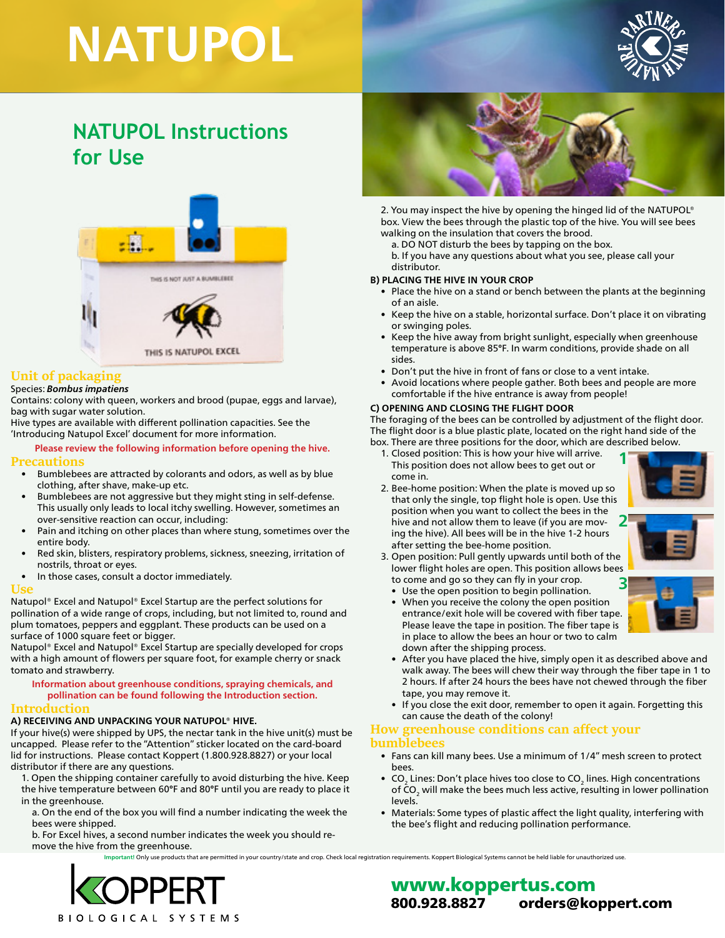# **NATUPOL**



## **NATUPOL Instructions for Use**



#### **Unit of packaging**

#### Species: *Bombus impatiens*

Contains: colony with queen, workers and brood (pupae, eggs and larvae), bag with sugar water solution.

Hive types are available with different pollination capacities. See the 'Introducing Natupol Excel' document for more information.

## **Please review the following information before opening the hive.**

- **Precautions** • Bumblebees are attracted by colorants and odors, as well as by blue clothing, after shave, make-up etc.
	- Bumblebees are not aggressive but they might sting in self-defense. This usually only leads to local itchy swelling. However, sometimes an over-sensitive reaction can occur, including:
	- Pain and itching on other places than where stung, sometimes over the entire body.
	- Red skin, blisters, respiratory problems, sickness, sneezing, irritation of nostrils, throat or eyes.
	- In those cases, consult a doctor immediately.

#### **Use**

Natupol® Excel and Natupol® Excel Startup are the perfect solutions for pollination of a wide range of crops, including, but not limited to, round and plum tomatoes, peppers and eggplant. These products can be used on a surface of 1000 square feet or bigger.

Natupol® Excel and Natupol® Excel Startup are specially developed for crops with a high amount of flowers per square foot, for example cherry or snack tomato and strawberry.

#### **Information about greenhouse conditions, spraying chemicals, and pollination can be found following the Introduction section.**

#### **Introduction**

#### **A) RECEIVING AND UNPACKING YOUR NATUPOL® HIVE.**

If your hive(s) were shipped by UPS, the nectar tank in the hive unit(s) must be uncapped. Please refer to the "Attention" sticker located on the card-board lid for instructions. Please contact Koppert (1.800.928.8827) or your local distributor if there are any questions.

1. Open the shipping container carefully to avoid disturbing the hive. Keep the hive temperature between 60°F and 80°F until you are ready to place it in the greenhouse.

a. On the end of the box you will find a number indicating the week the bees were shipped.

b. For Excel hives, a second number indicates the week you should remove the hive from the greenhouse.

**Iportant! Only use products that are permitted in your country/state and crop. Check local registration requirements. Koppert Biological Systems cannot be held liable for unauthorized use.** 



2. You may inspect the hive by opening the hinged lid of the NATUPOL® box. View the bees through the plastic top of the hive. You will see bees walking on the insulation that covers the brood.

a. DO NOT disturb the bees by tapping on the box. b. If you have any questions about what you see, please call your distributor.

#### **B) PLACING THE HIVE IN YOUR CROP**

- Place the hive on a stand or bench between the plants at the beginning of an aisle.
- Keep the hive on a stable, horizontal surface. Don't place it on vibrating or swinging poles.
- Keep the hive away from bright sunlight, especially when greenhouse temperature is above 85°F. In warm conditions, provide shade on all sides.
- Don't put the hive in front of fans or close to a vent intake.
- Avoid locations where people gather. Both bees and people are more comfortable if the hive entrance is away from people!

#### **C) OPENING AND CLOSING THE FLIGHT DOOR**

The foraging of the bees can be controlled by adjustment of the flight door. The flight door is a blue plastic plate, located on the right hand side of the box. There are three positions for the door, which are described below.

- 1. Closed position: This is how your hive will arrive. This position does not allow bees to get out or come in.
- 2. Bee-home position: When the plate is moved up so that only the single, top flight hole is open. Use this position when you want to collect the bees in the hive and not allow them to leave (if you are moving the hive). All bees will be in the hive 1-2 hours after setting the bee-home position. **2**



- 3. Open position: Pull gently upwards until both of the lower flight holes are open. This position allows bees to come and go so they can fly in your crop. **3**
	- Use the open position to begin pollination.
	- When you receive the colony the open position entrance/exit hole will be covered with fiber tape. Please leave the tape in position. The fiber tape is in place to allow the bees an hour or two to calm down after the shipping process.



- After you have placed the hive, simply open it as described above and walk away. The bees will chew their way through the fiber tape in 1 to 2 hours. If after 24 hours the bees have not chewed through the fiber tape, you may remove it.
- If you close the exit door, remember to open it again. Forgetting this can cause the death of the colony!

## **How greenhouse conditions can affect your**

#### **bumblebees**

- Fans can kill many bees. Use a minimum of 1/4" mesh screen to protect bees.
- CO<sub>2</sub> Lines: Don't place hives too close to CO<sub>2</sub> lines. High concentrations of CO<sub>2</sub> will make the bees much less active, resulting in lower pollination levels.
- Materials: Some types of plastic affect the light quality, interfering with the bee's flight and reducing pollination performance.



### www.koppertus.com 800.928.8827 orders@koppert.com